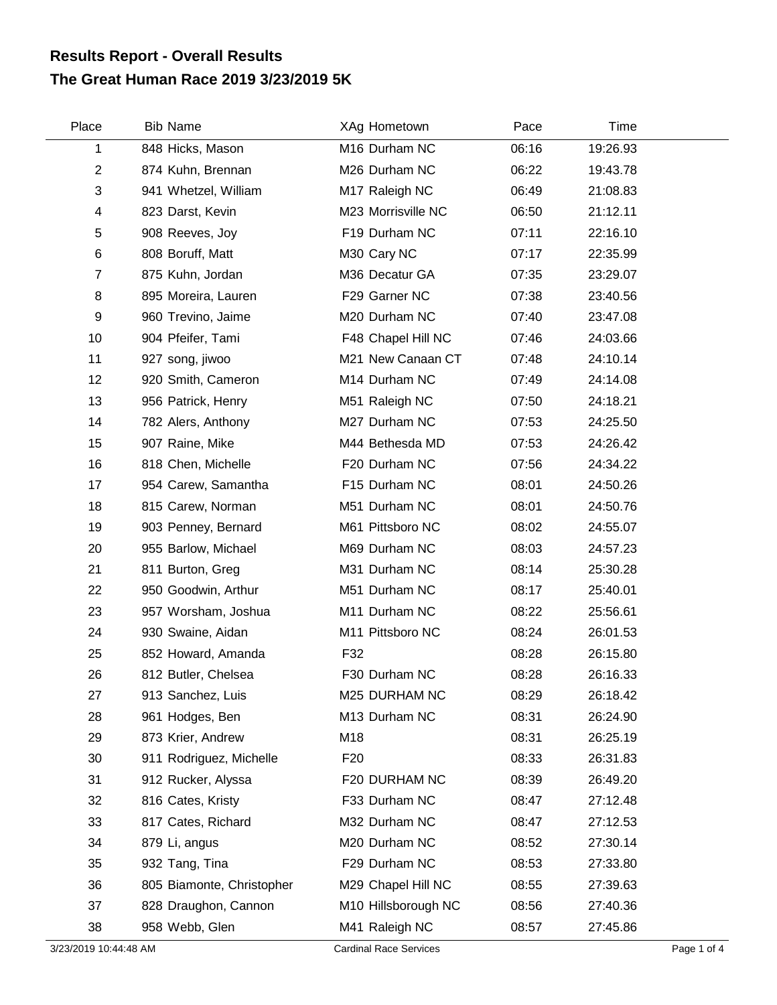## **The Great Human Race 2019 3/23/2019 5K Results Report - Overall Results**

| Place          | <b>Bib Name</b>           | XAg Hometown        | Pace  | Time     |  |
|----------------|---------------------------|---------------------|-------|----------|--|
| 1              | 848 Hicks, Mason          | M16 Durham NC       | 06:16 | 19:26.93 |  |
| $\overline{2}$ | 874 Kuhn, Brennan         | M26 Durham NC       | 06:22 | 19:43.78 |  |
| 3              | 941 Whetzel, William      | M17 Raleigh NC      | 06:49 | 21:08.83 |  |
| 4              | 823 Darst, Kevin          | M23 Morrisville NC  | 06:50 | 21:12.11 |  |
| 5              | 908 Reeves, Joy           | F19 Durham NC       | 07:11 | 22:16.10 |  |
| 6              | 808 Boruff, Matt          | M30 Cary NC         | 07:17 | 22:35.99 |  |
| $\overline{7}$ | 875 Kuhn, Jordan          | M36 Decatur GA      | 07:35 | 23:29.07 |  |
| 8              | 895 Moreira, Lauren       | F29 Garner NC       | 07:38 | 23:40.56 |  |
| 9              | 960 Trevino, Jaime        | M20 Durham NC       | 07:40 | 23:47.08 |  |
| 10             | 904 Pfeifer, Tami         | F48 Chapel Hill NC  | 07:46 | 24:03.66 |  |
| 11             | 927 song, jiwoo           | M21 New Canaan CT   | 07:48 | 24:10.14 |  |
| 12             | 920 Smith, Cameron        | M14 Durham NC       | 07:49 | 24:14.08 |  |
| 13             | 956 Patrick, Henry        | M51 Raleigh NC      | 07:50 | 24:18.21 |  |
| 14             | 782 Alers, Anthony        | M27 Durham NC       | 07:53 | 24:25.50 |  |
| 15             | 907 Raine, Mike           | M44 Bethesda MD     | 07:53 | 24:26.42 |  |
| 16             | 818 Chen, Michelle        | F20 Durham NC       | 07:56 | 24:34.22 |  |
| 17             | 954 Carew, Samantha       | F15 Durham NC       | 08:01 | 24:50.26 |  |
| 18             | 815 Carew, Norman         | M51 Durham NC       | 08:01 | 24:50.76 |  |
| 19             | 903 Penney, Bernard       | M61 Pittsboro NC    | 08:02 | 24:55.07 |  |
| 20             | 955 Barlow, Michael       | M69 Durham NC       | 08:03 | 24:57.23 |  |
| 21             | 811 Burton, Greg          | M31 Durham NC       | 08:14 | 25:30.28 |  |
| 22             | 950 Goodwin, Arthur       | M51 Durham NC       | 08:17 | 25:40.01 |  |
| 23             | 957 Worsham, Joshua       | M11 Durham NC       | 08:22 | 25:56.61 |  |
| 24             | 930 Swaine, Aidan         | M11 Pittsboro NC    | 08:24 | 26:01.53 |  |
| 25             | 852 Howard, Amanda        | F32                 | 08:28 | 26:15.80 |  |
| 26             | 812 Butler, Chelsea       | F30 Durham NC       | 08:28 | 26:16.33 |  |
| 27             | 913 Sanchez, Luis         | M25 DURHAM NC       | 08:29 | 26:18.42 |  |
| 28             | 961 Hodges, Ben           | M13 Durham NC       | 08:31 | 26:24.90 |  |
| 29             | 873 Krier, Andrew         | M18                 | 08:31 | 26:25.19 |  |
| 30             | 911 Rodriguez, Michelle   | F20                 | 08:33 | 26:31.83 |  |
| 31             | 912 Rucker, Alyssa        | F20 DURHAM NC       | 08:39 | 26:49.20 |  |
| 32             | 816 Cates, Kristy         | F33 Durham NC       | 08:47 | 27:12.48 |  |
| 33             | 817 Cates, Richard        | M32 Durham NC       | 08:47 | 27:12.53 |  |
| 34             | 879 Li, angus             | M20 Durham NC       | 08:52 | 27:30.14 |  |
| 35             | 932 Tang, Tina            | F29 Durham NC       | 08:53 | 27:33.80 |  |
| 36             | 805 Biamonte, Christopher | M29 Chapel Hill NC  | 08:55 | 27:39.63 |  |
| 37             | 828 Draughon, Cannon      | M10 Hillsborough NC | 08:56 | 27:40.36 |  |
| 38             | 958 Webb, Glen            | M41 Raleigh NC      | 08:57 | 27:45.86 |  |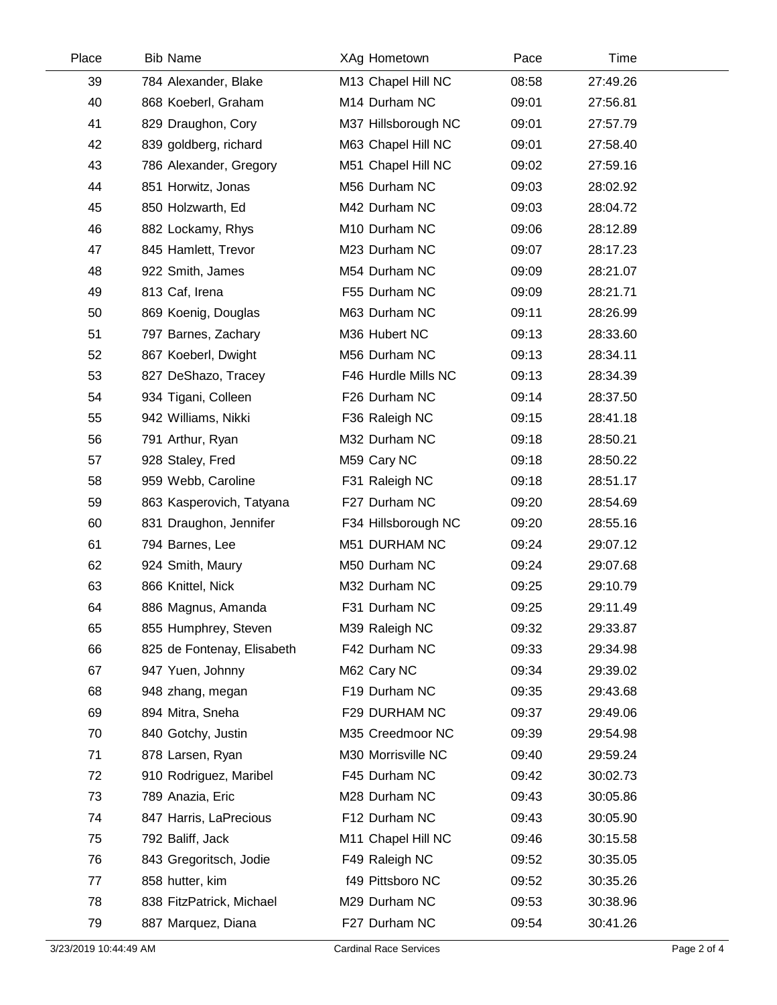| Place | <b>Bib Name</b>            | XAg Hometown        | Pace  | Time     |  |
|-------|----------------------------|---------------------|-------|----------|--|
| 39    | 784 Alexander, Blake       | M13 Chapel Hill NC  | 08:58 | 27:49.26 |  |
| 40    | 868 Koeberl, Graham        | M14 Durham NC       | 09:01 | 27:56.81 |  |
| 41    | 829 Draughon, Cory         | M37 Hillsborough NC | 09:01 | 27:57.79 |  |
| 42    | 839 goldberg, richard      | M63 Chapel Hill NC  | 09:01 | 27:58.40 |  |
| 43    | 786 Alexander, Gregory     | M51 Chapel Hill NC  | 09:02 | 27:59.16 |  |
| 44    | 851 Horwitz, Jonas         | M56 Durham NC       | 09:03 | 28:02.92 |  |
| 45    | 850 Holzwarth, Ed          | M42 Durham NC       | 09:03 | 28:04.72 |  |
| 46    | 882 Lockamy, Rhys          | M10 Durham NC       | 09:06 | 28:12.89 |  |
| 47    | 845 Hamlett, Trevor        | M23 Durham NC       | 09:07 | 28:17.23 |  |
| 48    | 922 Smith, James           | M54 Durham NC       | 09:09 | 28:21.07 |  |
| 49    | 813 Caf, Irena             | F55 Durham NC       | 09:09 | 28:21.71 |  |
| 50    | 869 Koenig, Douglas        | M63 Durham NC       | 09:11 | 28:26.99 |  |
| 51    | 797 Barnes, Zachary        | M36 Hubert NC       | 09:13 | 28:33.60 |  |
| 52    | 867 Koeberl, Dwight        | M56 Durham NC       | 09:13 | 28:34.11 |  |
| 53    | 827 DeShazo, Tracey        | F46 Hurdle Mills NC | 09:13 | 28:34.39 |  |
| 54    | 934 Tigani, Colleen        | F26 Durham NC       | 09:14 | 28:37.50 |  |
| 55    | 942 Williams, Nikki        | F36 Raleigh NC      | 09:15 | 28:41.18 |  |
| 56    | 791 Arthur, Ryan           | M32 Durham NC       | 09:18 | 28:50.21 |  |
| 57    | 928 Staley, Fred           | M59 Cary NC         | 09:18 | 28:50.22 |  |
| 58    | 959 Webb, Caroline         | F31 Raleigh NC      | 09:18 | 28:51.17 |  |
| 59    | 863 Kasperovich, Tatyana   | F27 Durham NC       | 09:20 | 28:54.69 |  |
| 60    | 831 Draughon, Jennifer     | F34 Hillsborough NC | 09:20 | 28:55.16 |  |
| 61    | 794 Barnes, Lee            | M51 DURHAM NC       | 09:24 | 29:07.12 |  |
| 62    | 924 Smith, Maury           | M50 Durham NC       | 09:24 | 29:07.68 |  |
| 63    | 866 Knittel, Nick          | M32 Durham NC       | 09:25 | 29:10.79 |  |
| 64    | 886 Magnus, Amanda         | F31 Durham NC       | 09:25 | 29:11.49 |  |
| 65    | 855 Humphrey, Steven       | M39 Raleigh NC      | 09:32 | 29:33.87 |  |
| 66    | 825 de Fontenay, Elisabeth | F42 Durham NC       | 09:33 | 29:34.98 |  |
| 67    | 947 Yuen, Johnny           | M62 Cary NC         | 09:34 | 29:39.02 |  |
| 68    | 948 zhang, megan           | F19 Durham NC       | 09:35 | 29:43.68 |  |
| 69    | 894 Mitra, Sneha           | F29 DURHAM NC       | 09:37 | 29:49.06 |  |
| 70    | 840 Gotchy, Justin         | M35 Creedmoor NC    | 09:39 | 29:54.98 |  |
| 71    | 878 Larsen, Ryan           | M30 Morrisville NC  | 09:40 | 29:59.24 |  |
| 72    | 910 Rodriguez, Maribel     | F45 Durham NC       | 09:42 | 30:02.73 |  |
| 73    | 789 Anazia, Eric           | M28 Durham NC       | 09:43 | 30:05.86 |  |
| 74    | 847 Harris, LaPrecious     | F12 Durham NC       | 09:43 | 30:05.90 |  |
| 75    | 792 Baliff, Jack           | M11 Chapel Hill NC  | 09:46 | 30:15.58 |  |
| 76    | 843 Gregoritsch, Jodie     | F49 Raleigh NC      | 09:52 | 30:35.05 |  |
| 77    | 858 hutter, kim            | f49 Pittsboro NC    | 09:52 | 30:35.26 |  |
| 78    | 838 FitzPatrick, Michael   | M29 Durham NC       | 09:53 | 30:38.96 |  |
| 79    | 887 Marquez, Diana         | F27 Durham NC       | 09:54 | 30:41.26 |  |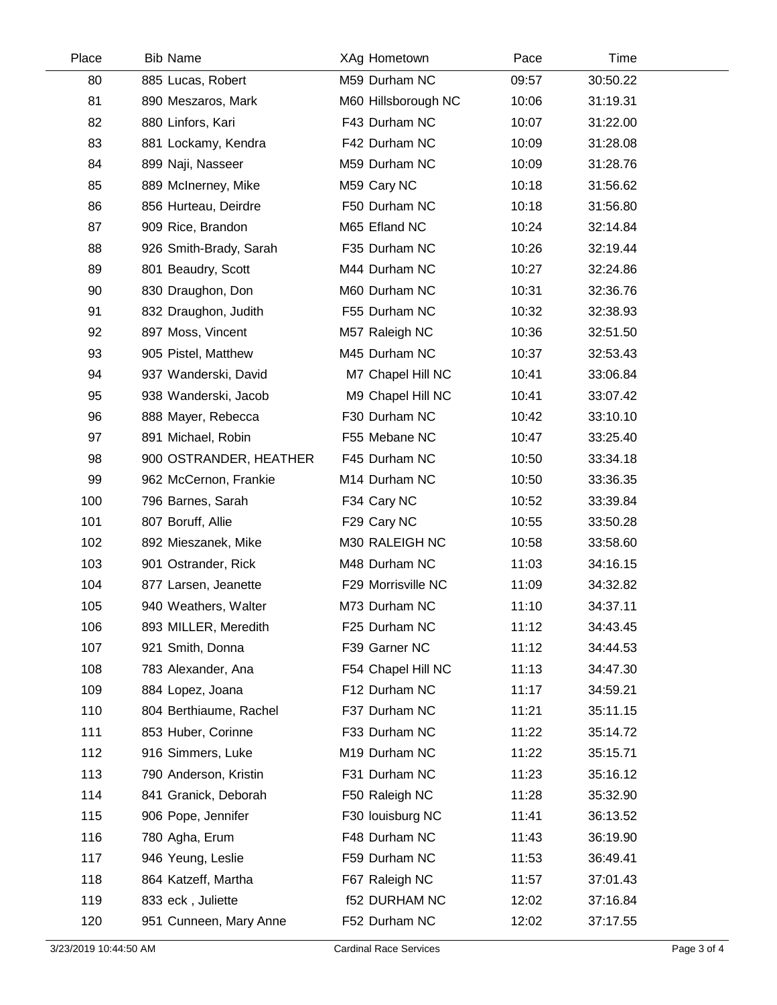| Place | <b>Bib Name</b>        | XAg Hometown         | Pace  | Time     |  |
|-------|------------------------|----------------------|-------|----------|--|
| 80    | 885 Lucas, Robert      | M59 Durham NC        | 09:57 | 30:50.22 |  |
| 81    | 890 Meszaros, Mark     | M60 Hillsborough NC  | 10:06 | 31:19.31 |  |
| 82    | 880 Linfors, Kari      | F43 Durham NC        | 10:07 | 31:22.00 |  |
| 83    | 881 Lockamy, Kendra    | F42 Durham NC        | 10:09 | 31:28.08 |  |
| 84    | 899 Naji, Nasseer      | M59 Durham NC        | 10:09 | 31:28.76 |  |
| 85    | 889 McInerney, Mike    | M59 Cary NC          | 10:18 | 31:56.62 |  |
| 86    | 856 Hurteau, Deirdre   | F50 Durham NC        | 10:18 | 31:56.80 |  |
| 87    | 909 Rice, Brandon      | M65 Efland NC        | 10:24 | 32:14.84 |  |
| 88    | 926 Smith-Brady, Sarah | F35 Durham NC        | 10:26 | 32:19.44 |  |
| 89    | 801 Beaudry, Scott     | M44 Durham NC        | 10:27 | 32:24.86 |  |
| 90    | 830 Draughon, Don      | M60 Durham NC        | 10:31 | 32:36.76 |  |
| 91    | 832 Draughon, Judith   | F55 Durham NC        | 10:32 | 32:38.93 |  |
| 92    | 897 Moss, Vincent      | M57 Raleigh NC       | 10:36 | 32:51.50 |  |
| 93    | 905 Pistel, Matthew    | M45 Durham NC        | 10:37 | 32:53.43 |  |
| 94    | 937 Wanderski, David   | M7 Chapel Hill NC    | 10:41 | 33:06.84 |  |
| 95    | 938 Wanderski, Jacob   | M9 Chapel Hill NC    | 10:41 | 33:07.42 |  |
| 96    | 888 Mayer, Rebecca     | F30 Durham NC        | 10:42 | 33:10.10 |  |
| 97    | 891 Michael, Robin     | F55 Mebane NC        | 10:47 | 33:25.40 |  |
| 98    | 900 OSTRANDER, HEATHER | F45 Durham NC        | 10:50 | 33:34.18 |  |
| 99    | 962 McCernon, Frankie  | M14 Durham NC        | 10:50 | 33:36.35 |  |
| 100   | 796 Barnes, Sarah      | F34 Cary NC          | 10:52 | 33:39.84 |  |
| 101   | 807 Boruff, Allie      | F29 Cary NC          | 10:55 | 33:50.28 |  |
| 102   | 892 Mieszanek, Mike    | M30 RALEIGH NC       | 10:58 | 33:58.60 |  |
| 103   | 901 Ostrander, Rick    | M48 Durham NC        | 11:03 | 34:16.15 |  |
| 104   | 877 Larsen, Jeanette   | F29 Morrisville NC   | 11:09 | 34:32.82 |  |
| 105   | 940 Weathers, Walter   | M73 Durham NC        | 11:10 | 34:37.11 |  |
| 106   | 893 MILLER, Meredith   | F25 Durham NC        | 11:12 | 34:43.45 |  |
| 107   | 921 Smith, Donna       | F39 Garner NC        | 11:12 | 34:44.53 |  |
| 108   | 783 Alexander, Ana     | F54 Chapel Hill NC   | 11:13 | 34:47.30 |  |
| 109   | 884 Lopez, Joana       | F12 Durham NC        | 11:17 | 34:59.21 |  |
| 110   | 804 Berthiaume, Rachel | F37 Durham NC        | 11:21 | 35:11.15 |  |
| 111   | 853 Huber, Corinne     | F33 Durham NC        | 11:22 | 35:14.72 |  |
| 112   | 916 Simmers, Luke      | M19 Durham NC        | 11:22 | 35:15.71 |  |
| 113   | 790 Anderson, Kristin  | F31 Durham NC        | 11:23 | 35:16.12 |  |
| 114   | 841 Granick, Deborah   | F50 Raleigh NC       | 11:28 | 35:32.90 |  |
| 115   | 906 Pope, Jennifer     | F30 louisburg NC     | 11:41 | 36:13.52 |  |
| 116   | 780 Agha, Erum         | F48 Durham NC        | 11:43 | 36:19.90 |  |
| 117   | 946 Yeung, Leslie      | F59 Durham NC        | 11:53 | 36:49.41 |  |
| 118   | 864 Katzeff, Martha    | F67 Raleigh NC       | 11:57 | 37:01.43 |  |
| 119   | 833 eck, Juliette      | <b>f52 DURHAM NC</b> | 12:02 | 37:16.84 |  |
| 120   | 951 Cunneen, Mary Anne | F52 Durham NC        | 12:02 | 37:17.55 |  |